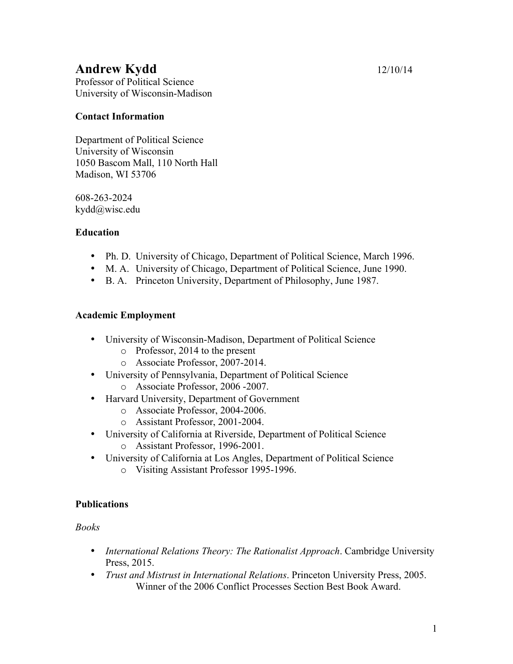# **Andrew Kydd** 12/10/14

Professor of Political Science University of Wisconsin-Madison

## **Contact Information**

Department of Political Science University of Wisconsin 1050 Bascom Mall, 110 North Hall Madison, WI 53706

608-263-2024 kydd@wisc.edu

## **Education**

- Ph. D. University of Chicago, Department of Political Science, March 1996.
- M. A. University of Chicago, Department of Political Science, June 1990.
- B. A. Princeton University, Department of Philosophy, June 1987.

## **Academic Employment**

- University of Wisconsin-Madison, Department of Political Science
	- o Professor, 2014 to the present
	- o Associate Professor, 2007-2014.
- University of Pennsylvania, Department of Political Science o Associate Professor, 2006 -2007.
- Harvard University, Department of Government
	- o Associate Professor, 2004-2006.
		- o Assistant Professor, 2001-2004.
- University of California at Riverside, Department of Political Science
	- o Assistant Professor, 1996-2001.
- University of California at Los Angles, Department of Political Science
	- o Visiting Assistant Professor 1995-1996.

#### **Publications**

*Books*

- *International Relations Theory: The Rationalist Approach*. Cambridge University Press, 2015.
- *Trust and Mistrust in International Relations*. Princeton University Press, 2005. Winner of the 2006 Conflict Processes Section Best Book Award.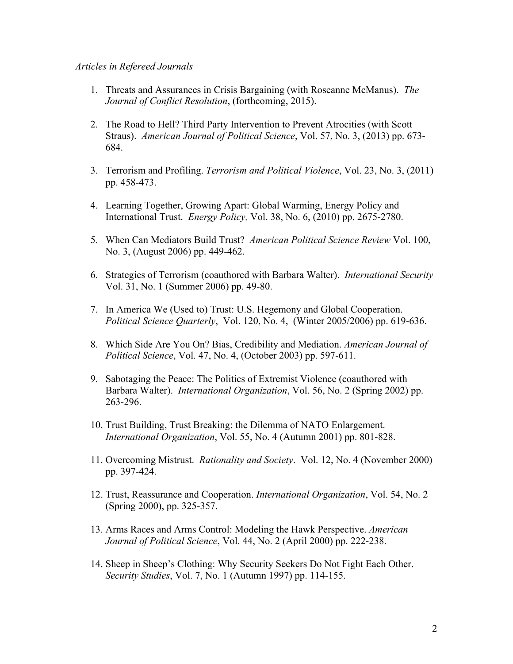#### *Articles in Refereed Journals*

- 1. Threats and Assurances in Crisis Bargaining (with Roseanne McManus). *The Journal of Conflict Resolution*, (forthcoming, 2015).
- 2. The Road to Hell? Third Party Intervention to Prevent Atrocities (with Scott Straus). *American Journal of Political Science*, Vol. 57, No. 3, (2013) pp. 673- 684.
- 3. Terrorism and Profiling. *Terrorism and Political Violence*, Vol. 23, No. 3, (2011) pp. 458-473.
- 4. Learning Together, Growing Apart: Global Warming, Energy Policy and International Trust. *Energy Policy,* Vol. 38, No. 6, (2010) pp. 2675-2780.
- 5. When Can Mediators Build Trust? *American Political Science Review* Vol. 100, No. 3, (August 2006) pp. 449-462.
- 6. Strategies of Terrorism (coauthored with Barbara Walter). *International Security* Vol. 31, No. 1 (Summer 2006) pp. 49-80.
- 7. In America We (Used to) Trust: U.S. Hegemony and Global Cooperation. *Political Science Quarterly*, Vol. 120, No. 4, (Winter 2005/2006) pp. 619-636.
- 8. Which Side Are You On? Bias, Credibility and Mediation. *American Journal of Political Science*, Vol. 47, No. 4, (October 2003) pp. 597-611.
- 9. Sabotaging the Peace: The Politics of Extremist Violence (coauthored with Barbara Walter). *International Organization*, Vol. 56, No. 2 (Spring 2002) pp. 263-296.
- 10. Trust Building, Trust Breaking: the Dilemma of NATO Enlargement. *International Organization*, Vol. 55, No. 4 (Autumn 2001) pp. 801-828.
- 11. Overcoming Mistrust. *Rationality and Society*. Vol. 12, No. 4 (November 2000) pp. 397-424.
- 12. Trust, Reassurance and Cooperation. *International Organization*, Vol. 54, No. 2 (Spring 2000), pp. 325-357.
- 13. Arms Races and Arms Control: Modeling the Hawk Perspective. *American Journal of Political Science*, Vol. 44, No. 2 (April 2000) pp. 222-238.
- 14. Sheep in Sheep's Clothing: Why Security Seekers Do Not Fight Each Other. *Security Studies*, Vol. 7, No. 1 (Autumn 1997) pp. 114-155.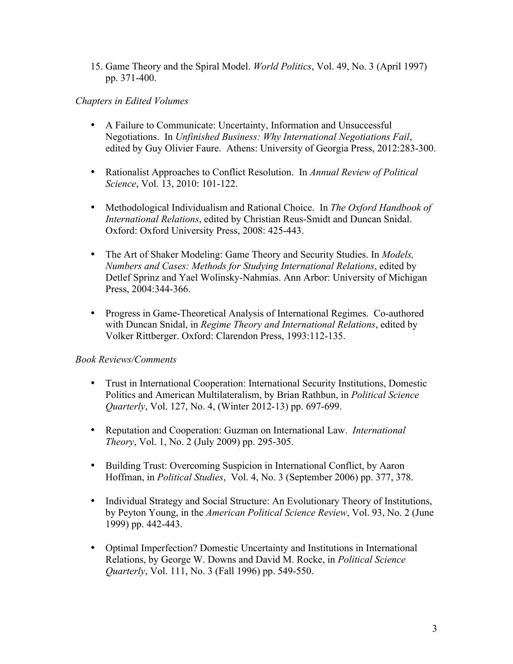15. Game Theory and the Spiral Model. *World Politics*, Vol. 49, No. 3 (April 1997) pp. 371-400.

#### *Chapters in Edited Volumes*

- A Failure to Communicate: Uncertainty, Information and Unsuccessful Negotiations. In *Unfinished Business: Why International Negotiations Fail*, edited by Guy Olivier Faure. Athens: University of Georgia Press, 2012:283-300.
- Rationalist Approaches to Conflict Resolution. In *Annual Review of Political Science*, Vol. 13, 2010: 101-122.
- Methodological Individualism and Rational Choice. In *The Oxford Handbook of International Relations*, edited by Christian Reus-Smidt and Duncan Snidal. Oxford: Oxford University Press, 2008: 425-443.
- The Art of Shaker Modeling: Game Theory and Security Studies. In *Models, Numbers and Cases: Methods for Studying International Relations*, edited by Detlef Sprinz and Yael Wolinsky-Nahmias. Ann Arbor: University of Michigan Press, 2004:344-366.
- Progress in Game-Theoretical Analysis of International Regimes. Co-authored with Duncan Snidal, in *Regime Theory and International Relations*, edited by Volker Rittberger. Oxford: Clarendon Press, 1993:112-135.

# *Book Reviews/Comments*

- Trust in International Cooperation: International Security Institutions, Domestic Politics and American Multilateralism, by Brian Rathbun, in *Political Science Quarterly*, Vol. 127, No. 4, (Winter 2012-13) pp. 697-699.
- Reputation and Cooperation: Guzman on International Law. *International Theory*, Vol. 1, No. 2 (July 2009) pp. 295-305.
- Building Trust: Overcoming Suspicion in International Conflict, by Aaron Hoffman, in *Political Studies*, Vol. 4, No. 3 (September 2006) pp. 377, 378.
- Individual Strategy and Social Structure: An Evolutionary Theory of Institutions, by Peyton Young, in the *American Political Science Review*, Vol. 93, No. 2 (June 1999) pp. 442-443.
- Optimal Imperfection? Domestic Uncertainty and Institutions in International Relations, by George W. Downs and David M. Rocke, in *Political Science Quarterly*, Vol. 111, No. 3 (Fall 1996) pp. 549-550.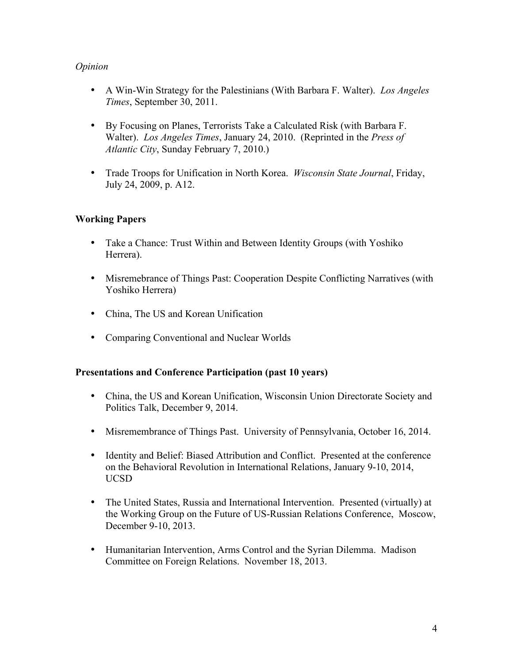## *Opinion*

- A Win-Win Strategy for the Palestinians (With Barbara F. Walter). *Los Angeles Times*, September 30, 2011.
- By Focusing on Planes, Terrorists Take a Calculated Risk (with Barbara F. Walter). *Los Angeles Times*, January 24, 2010. (Reprinted in the *Press of Atlantic City*, Sunday February 7, 2010.)
- Trade Troops for Unification in North Korea. *Wisconsin State Journal*, Friday, July 24, 2009, p. A12.

## **Working Papers**

- Take a Chance: Trust Within and Between Identity Groups (with Yoshiko Herrera).
- Misremebrance of Things Past: Cooperation Despite Conflicting Narratives (with Yoshiko Herrera)
- China, The US and Korean Unification
- Comparing Conventional and Nuclear Worlds

#### **Presentations and Conference Participation (past 10 years)**

- China, the US and Korean Unification, Wisconsin Union Directorate Society and Politics Talk, December 9, 2014.
- Misremembrance of Things Past. University of Pennsylvania, October 16, 2014.
- Identity and Belief: Biased Attribution and Conflict. Presented at the conference on the Behavioral Revolution in International Relations, January 9-10, 2014, UCSD
- The United States, Russia and International Intervention. Presented (virtually) at the Working Group on the Future of US-Russian Relations Conference, Moscow, December 9-10, 2013.
- Humanitarian Intervention, Arms Control and the Syrian Dilemma. Madison Committee on Foreign Relations. November 18, 2013.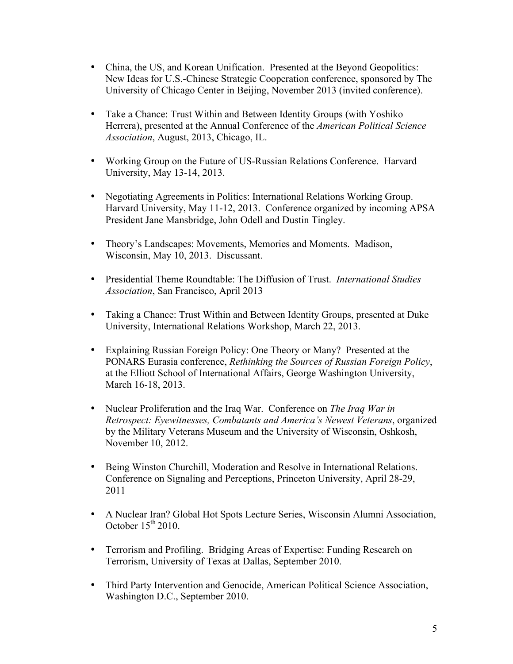- China, the US, and Korean Unification. Presented at the Beyond Geopolitics: New Ideas for U.S.-Chinese Strategic Cooperation conference, sponsored by The University of Chicago Center in Beijing, November 2013 (invited conference).
- Take a Chance: Trust Within and Between Identity Groups (with Yoshiko Herrera), presented at the Annual Conference of the *American Political Science Association*, August, 2013, Chicago, IL.
- Working Group on the Future of US-Russian Relations Conference. Harvard University, May 13-14, 2013.
- Negotiating Agreements in Politics: International Relations Working Group. Harvard University, May 11-12, 2013. Conference organized by incoming APSA President Jane Mansbridge, John Odell and Dustin Tingley.
- Theory's Landscapes: Movements, Memories and Moments. Madison, Wisconsin, May 10, 2013. Discussant.
- Presidential Theme Roundtable: The Diffusion of Trust. *International Studies Association*, San Francisco, April 2013
- Taking a Chance: Trust Within and Between Identity Groups, presented at Duke University, International Relations Workshop, March 22, 2013.
- Explaining Russian Foreign Policy: One Theory or Many? Presented at the PONARS Eurasia conference, *Rethinking the Sources of Russian Foreign Policy*, at the Elliott School of International Affairs, George Washington University, March 16-18, 2013.
- Nuclear Proliferation and the Iraq War. Conference on *The Iraq War in Retrospect: Eyewitnesses, Combatants and America's Newest Veterans*, organized by the Military Veterans Museum and the University of Wisconsin, Oshkosh, November 10, 2012.
- Being Winston Churchill, Moderation and Resolve in International Relations. Conference on Signaling and Perceptions, Princeton University, April 28-29, 2011
- A Nuclear Iran? Global Hot Spots Lecture Series, Wisconsin Alumni Association, October  $15<sup>th</sup> 2010$ .
- Terrorism and Profiling. Bridging Areas of Expertise: Funding Research on Terrorism, University of Texas at Dallas, September 2010.
- Third Party Intervention and Genocide, American Political Science Association, Washington D.C., September 2010.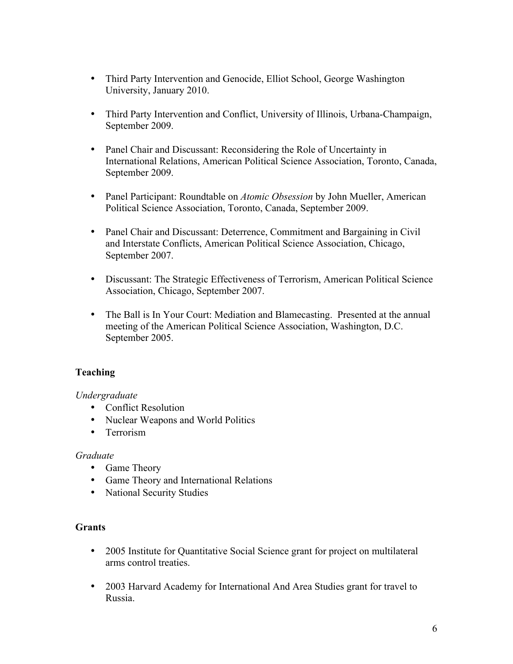- Third Party Intervention and Genocide, Elliot School, George Washington University, January 2010.
- Third Party Intervention and Conflict, University of Illinois, Urbana-Champaign, September 2009.
- Panel Chair and Discussant: Reconsidering the Role of Uncertainty in International Relations, American Political Science Association, Toronto, Canada, September 2009.
- Panel Participant: Roundtable on *Atomic Obsession* by John Mueller, American Political Science Association, Toronto, Canada, September 2009.
- Panel Chair and Discussant: Deterrence, Commitment and Bargaining in Civil and Interstate Conflicts, American Political Science Association, Chicago, September 2007.
- Discussant: The Strategic Effectiveness of Terrorism, American Political Science Association, Chicago, September 2007.
- The Ball is In Your Court: Mediation and Blamecasting. Presented at the annual meeting of the American Political Science Association, Washington, D.C. September 2005.

# **Teaching**

#### *Undergraduate*

- Conflict Resolution
- Nuclear Weapons and World Politics
- Terrorism

#### *Graduate*

- Game Theory
- Game Theory and International Relations
- National Security Studies

#### **Grants**

- 2005 Institute for Quantitative Social Science grant for project on multilateral arms control treaties.
- 2003 Harvard Academy for International And Area Studies grant for travel to Russia.